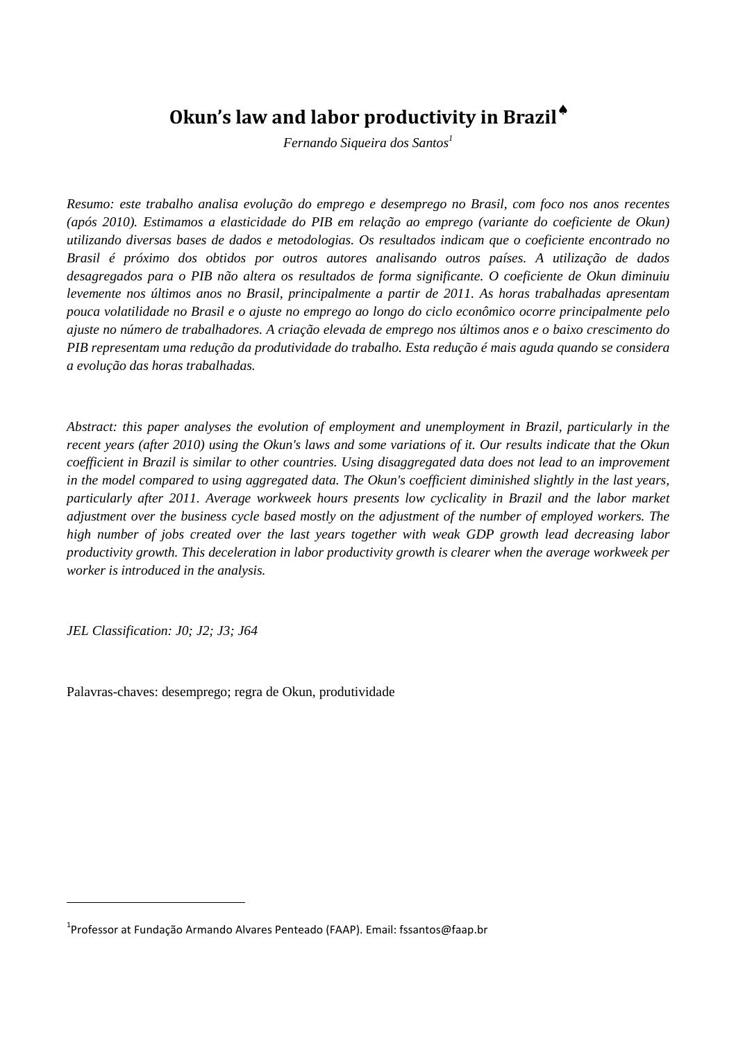# **Okun's law and labor productivity in Brazil**♠

*Fernando Siqueira dos Santos<sup>1</sup>*

*Resumo: este trabalho analisa evolução do emprego e desemprego no Brasil, com foco nos anos recentes (após 2010). Estimamos a elasticidade do PIB em relação ao emprego (variante do coeficiente de Okun) utilizando diversas bases de dados e metodologias. Os resultados indicam que o coeficiente encontrado no Brasil é próximo dos obtidos por outros autores analisando outros países. A utilização de dados desagregados para o PIB não altera os resultados de forma significante. O coeficiente de Okun diminuiu levemente nos últimos anos no Brasil, principalmente a partir de 2011. As horas trabalhadas apresentam pouca volatilidade no Brasil e o ajuste no emprego ao longo do ciclo econômico ocorre principalmente pelo ajuste no número de trabalhadores. A criação elevada de emprego nos últimos anos e o baixo crescimento do PIB representam uma redução da produtividade do trabalho. Esta redução é mais aguda quando se considera a evolução das horas trabalhadas.* 

*Abstract: this paper analyses the evolution of employment and unemployment in Brazil, particularly in the recent years (after 2010) using the Okun's laws and some variations of it. Our results indicate that the Okun coefficient in Brazil is similar to other countries. Using disaggregated data does not lead to an improvement in the model compared to using aggregated data. The Okun's coefficient diminished slightly in the last years, particularly after 2011. Average workweek hours presents low cyclicality in Brazil and the labor market adjustment over the business cycle based mostly on the adjustment of the number of employed workers. The high number of jobs created over the last years together with weak GDP growth lead decreasing labor productivity growth. This deceleration in labor productivity growth is clearer when the average workweek per worker is introduced in the analysis.* 

*JEL Classification: J0; J2; J3; J64* 

 $\overline{a}$ 

Palavras-chaves: desemprego; regra de Okun, produtividade

<sup>&</sup>lt;sup>1</sup>Professor at Fundação Armando Alvares Penteado (FAAP). Email: fssantos@faap.br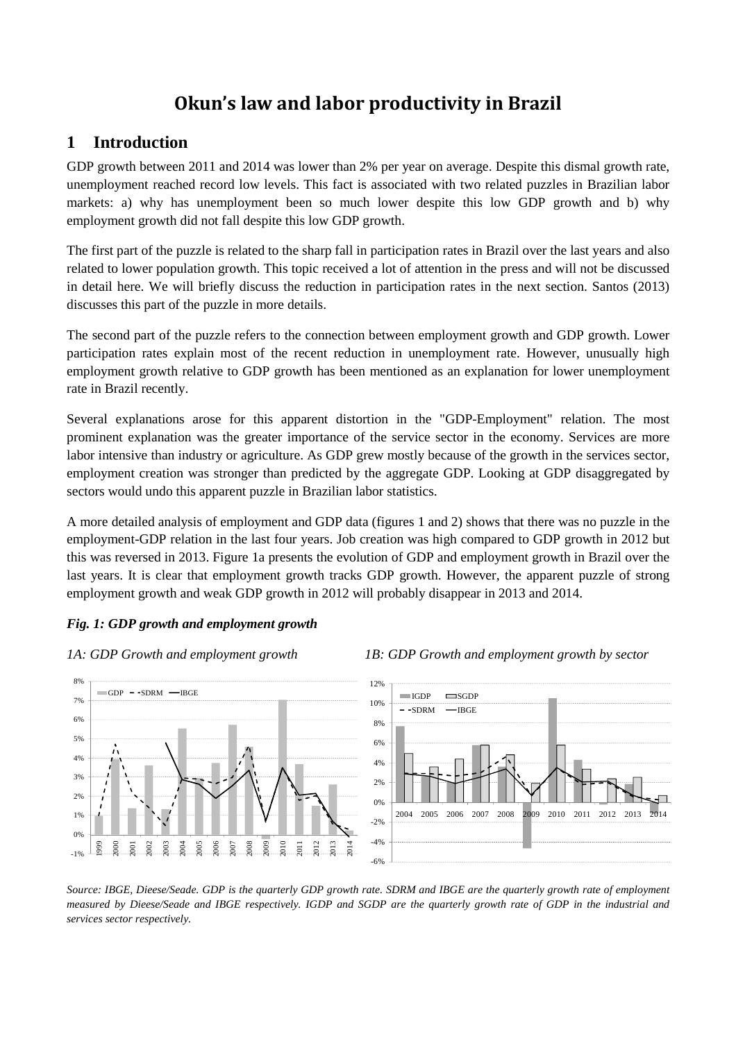# **Okun's law and labor productivity in Brazil**

# **1 Introduction**

GDP growth between 2011 and 2014 was lower than 2% per year on average. Despite this dismal growth rate, unemployment reached record low levels. This fact is associated with two related puzzles in Brazilian labor markets: a) why has unemployment been so much lower despite this low GDP growth and b) why employment growth did not fall despite this low GDP growth.

The first part of the puzzle is related to the sharp fall in participation rates in Brazil over the last years and also related to lower population growth. This topic received a lot of attention in the press and will not be discussed in detail here. We will briefly discuss the reduction in participation rates in the next section. Santos (2013) discusses this part of the puzzle in more details.

The second part of the puzzle refers to the connection between employment growth and GDP growth. Lower participation rates explain most of the recent reduction in unemployment rate. However, unusually high employment growth relative to GDP growth has been mentioned as an explanation for lower unemployment rate in Brazil recently.

Several explanations arose for this apparent distortion in the "GDP-Employment" relation. The most prominent explanation was the greater importance of the service sector in the economy. Services are more labor intensive than industry or agriculture. As GDP grew mostly because of the growth in the services sector, employment creation was stronger than predicted by the aggregate GDP. Looking at GDP disaggregated by sectors would undo this apparent puzzle in Brazilian labor statistics.

A more detailed analysis of employment and GDP data (figures 1 and 2) shows that there was no puzzle in the employment-GDP relation in the last four years. Job creation was high compared to GDP growth in 2012 but this was reversed in 2013. Figure 1a presents the evolution of GDP and employment growth in Brazil over the last years. It is clear that employment growth tracks GDP growth. However, the apparent puzzle of strong employment growth and weak GDP growth in 2012 will probably disappear in 2013 and 2014.

#### *Fig. 1: GDP growth and employment growth*









*Source: IBGE, Dieese/Seade. GDP is the quarterly GDP growth rate. SDRM and IBGE are the quarterly growth rate of employment measured by Dieese/Seade and IBGE respectively. IGDP and SGDP are the quarterly growth rate of GDP in the industrial and services sector respectively.*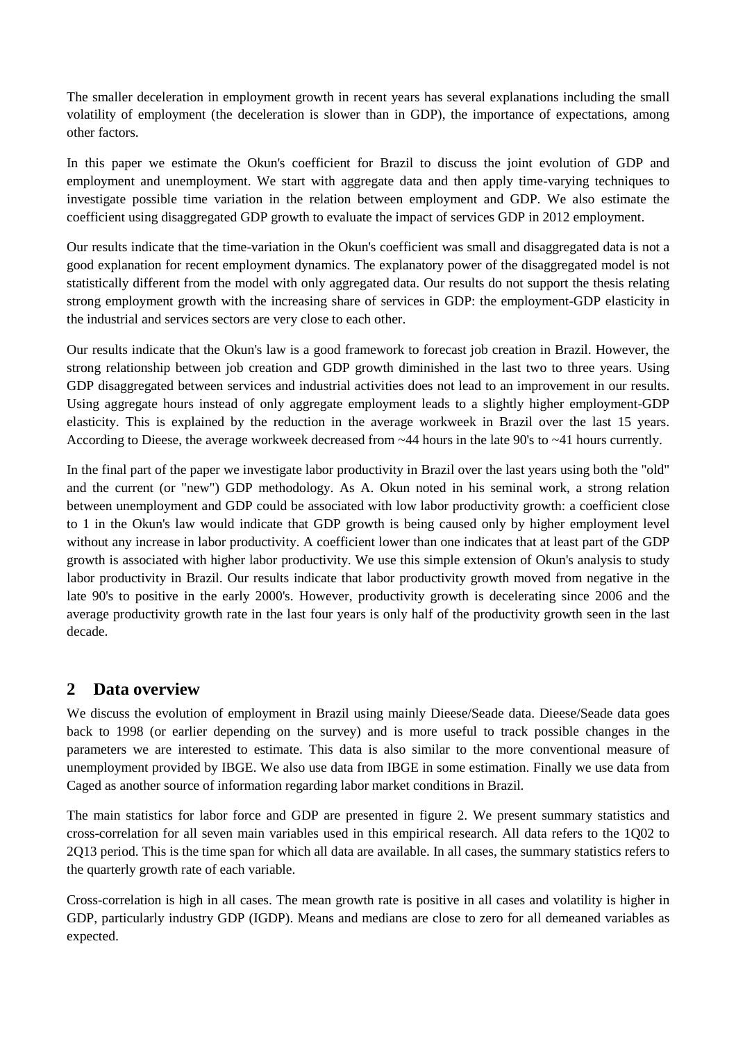The smaller deceleration in employment growth in recent years has several explanations including the small volatility of employment (the deceleration is slower than in GDP), the importance of expectations, among other factors.

In this paper we estimate the Okun's coefficient for Brazil to discuss the joint evolution of GDP and employment and unemployment. We start with aggregate data and then apply time-varying techniques to investigate possible time variation in the relation between employment and GDP. We also estimate the coefficient using disaggregated GDP growth to evaluate the impact of services GDP in 2012 employment.

Our results indicate that the time-variation in the Okun's coefficient was small and disaggregated data is not a good explanation for recent employment dynamics. The explanatory power of the disaggregated model is not statistically different from the model with only aggregated data. Our results do not support the thesis relating strong employment growth with the increasing share of services in GDP: the employment-GDP elasticity in the industrial and services sectors are very close to each other.

Our results indicate that the Okun's law is a good framework to forecast job creation in Brazil. However, the strong relationship between job creation and GDP growth diminished in the last two to three years. Using GDP disaggregated between services and industrial activities does not lead to an improvement in our results. Using aggregate hours instead of only aggregate employment leads to a slightly higher employment-GDP elasticity. This is explained by the reduction in the average workweek in Brazil over the last 15 years. According to Dieese, the average workweek decreased from ~44 hours in the late 90's to ~41 hours currently.

In the final part of the paper we investigate labor productivity in Brazil over the last years using both the "old" and the current (or "new") GDP methodology. As A. Okun noted in his seminal work, a strong relation between unemployment and GDP could be associated with low labor productivity growth: a coefficient close to 1 in the Okun's law would indicate that GDP growth is being caused only by higher employment level without any increase in labor productivity. A coefficient lower than one indicates that at least part of the GDP growth is associated with higher labor productivity. We use this simple extension of Okun's analysis to study labor productivity in Brazil. Our results indicate that labor productivity growth moved from negative in the late 90's to positive in the early 2000's. However, productivity growth is decelerating since 2006 and the average productivity growth rate in the last four years is only half of the productivity growth seen in the last decade.

# **2 Data overview**

We discuss the evolution of employment in Brazil using mainly Dieese/Seade data. Dieese/Seade data goes back to 1998 (or earlier depending on the survey) and is more useful to track possible changes in the parameters we are interested to estimate. This data is also similar to the more conventional measure of unemployment provided by IBGE. We also use data from IBGE in some estimation. Finally we use data from Caged as another source of information regarding labor market conditions in Brazil.

The main statistics for labor force and GDP are presented in figure 2. We present summary statistics and cross-correlation for all seven main variables used in this empirical research. All data refers to the 1Q02 to 2Q13 period. This is the time span for which all data are available. In all cases, the summary statistics refers to the quarterly growth rate of each variable.

Cross-correlation is high in all cases. The mean growth rate is positive in all cases and volatility is higher in GDP, particularly industry GDP (IGDP). Means and medians are close to zero for all demeaned variables as expected.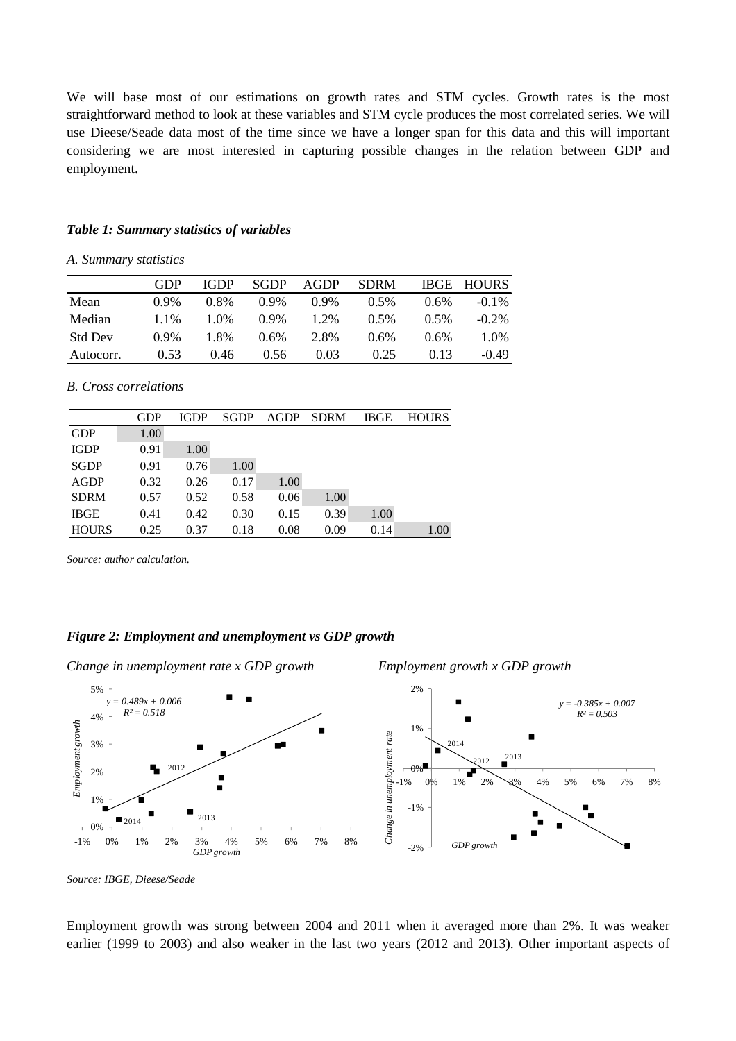We will base most of our estimations on growth rates and STM cycles. Growth rates is the most straightforward method to look at these variables and STM cycle produces the most correlated series. We will use Dieese/Seade data most of the time since we have a longer span for this data and this will important considering we are most interested in capturing possible changes in the relation between GDP and employment.

#### *Table 1: Summary statistics of variables*

*A. Summary statistics* 

|                | GDP     | <b>IGDP</b> | <b>SGDP</b> | <b>AGDP</b> | <b>SDRM</b> | <b>IBGE</b> | <b>HOURS</b> |
|----------------|---------|-------------|-------------|-------------|-------------|-------------|--------------|
| Mean           | $0.9\%$ | 0.8%        | $0.9\%$     | $0.9\%$     | $0.5\%$     | $0.6\%$     | $-0.1\%$     |
| Median         | 1.1%    | 1.0%        | $0.9\%$     | 1.2%        | $0.5\%$     | 0.5%        | $-0.2\%$     |
| <b>Std Dev</b> | $0.9\%$ | 1.8%        | $0.6\%$     | 2.8%        | 0.6%        | $0.6\%$     | 1.0%         |
| Autocorr.      | 0.53    | 0.46        | 0.56        | 0.03        | 0.25        | 0.13        | $-0.49$      |

#### *B. Cross correlations*

|              | <b>GDP</b> | <b>IGDP</b> | <b>SGDP</b> | <b>AGDP</b> | <b>SDRM</b> | <b>IBGE</b> | <b>HOURS</b> |
|--------------|------------|-------------|-------------|-------------|-------------|-------------|--------------|
| <b>GDP</b>   | 1.00       |             |             |             |             |             |              |
| <b>IGDP</b>  | 0.91       | 1.00        |             |             |             |             |              |
| <b>SGDP</b>  | 0.91       | 0.76        | 1.00        |             |             |             |              |
| <b>AGDP</b>  | 0.32       | 0.26        | 0.17        | 1.00        |             |             |              |
| <b>SDRM</b>  | 0.57       | 0.52        | 0.58        | 0.06        | 1.00        |             |              |
| <b>IBGE</b>  | 0.41       | 0.42        | 0.30        | 0.15        | 0.39        | 1.00        |              |
| <b>HOURS</b> | 0.25       | 0.37        | 0.18        | 0.08        | 0.09        | 0.14        | 1.00         |

*Source: author calculation.* 

#### *Figure 2: Employment and unemployment vs GDP growth*

*Change in unemployment rate x GDP growth Employment growth x GDP growth* 





*Source: IBGE, Dieese/Seade* 

Employment growth was strong between 2004 and 2011 when it averaged more than 2%. It was weaker earlier (1999 to 2003) and also weaker in the last two years (2012 and 2013). Other important aspects of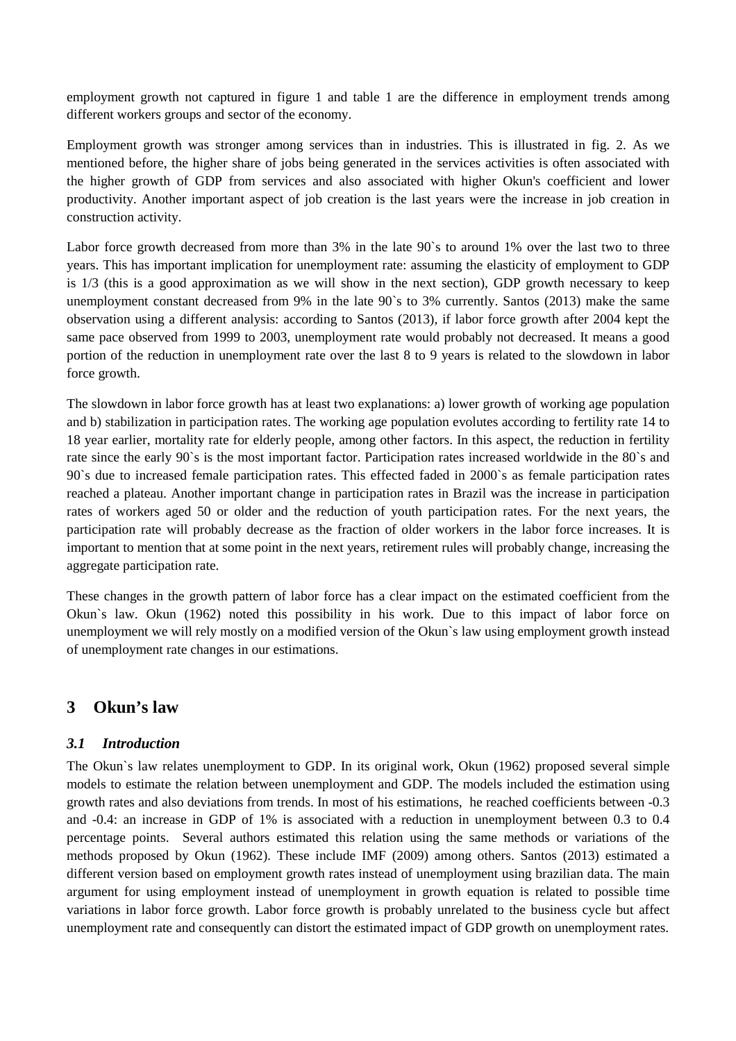employment growth not captured in figure 1 and table 1 are the difference in employment trends among different workers groups and sector of the economy.

Employment growth was stronger among services than in industries. This is illustrated in fig. 2. As we mentioned before, the higher share of jobs being generated in the services activities is often associated with the higher growth of GDP from services and also associated with higher Okun's coefficient and lower productivity. Another important aspect of job creation is the last years were the increase in job creation in construction activity.

Labor force growth decreased from more than 3% in the late 90's to around 1% over the last two to three years. This has important implication for unemployment rate: assuming the elasticity of employment to GDP is 1/3 (this is a good approximation as we will show in the next section), GDP growth necessary to keep unemployment constant decreased from 9% in the late 90`s to 3% currently. Santos (2013) make the same observation using a different analysis: according to Santos (2013), if labor force growth after 2004 kept the same pace observed from 1999 to 2003, unemployment rate would probably not decreased. It means a good portion of the reduction in unemployment rate over the last 8 to 9 years is related to the slowdown in labor force growth.

The slowdown in labor force growth has at least two explanations: a) lower growth of working age population and b) stabilization in participation rates. The working age population evolutes according to fertility rate 14 to 18 year earlier, mortality rate for elderly people, among other factors. In this aspect, the reduction in fertility rate since the early 90`s is the most important factor. Participation rates increased worldwide in the 80`s and 90`s due to increased female participation rates. This effected faded in 2000`s as female participation rates reached a plateau. Another important change in participation rates in Brazil was the increase in participation rates of workers aged 50 or older and the reduction of youth participation rates. For the next years, the participation rate will probably decrease as the fraction of older workers in the labor force increases. It is important to mention that at some point in the next years, retirement rules will probably change, increasing the aggregate participation rate.

These changes in the growth pattern of labor force has a clear impact on the estimated coefficient from the Okun`s law. Okun (1962) noted this possibility in his work. Due to this impact of labor force on unemployment we will rely mostly on a modified version of the Okun`s law using employment growth instead of unemployment rate changes in our estimations.

# **3 Okun's law**

#### *3.1 Introduction*

The Okun`s law relates unemployment to GDP. In its original work, Okun (1962) proposed several simple models to estimate the relation between unemployment and GDP. The models included the estimation using growth rates and also deviations from trends. In most of his estimations, he reached coefficients between -0.3 and -0.4: an increase in GDP of 1% is associated with a reduction in unemployment between 0.3 to 0.4 percentage points. Several authors estimated this relation using the same methods or variations of the methods proposed by Okun (1962). These include IMF (2009) among others. Santos (2013) estimated a different version based on employment growth rates instead of unemployment using brazilian data. The main argument for using employment instead of unemployment in growth equation is related to possible time variations in labor force growth. Labor force growth is probably unrelated to the business cycle but affect unemployment rate and consequently can distort the estimated impact of GDP growth on unemployment rates.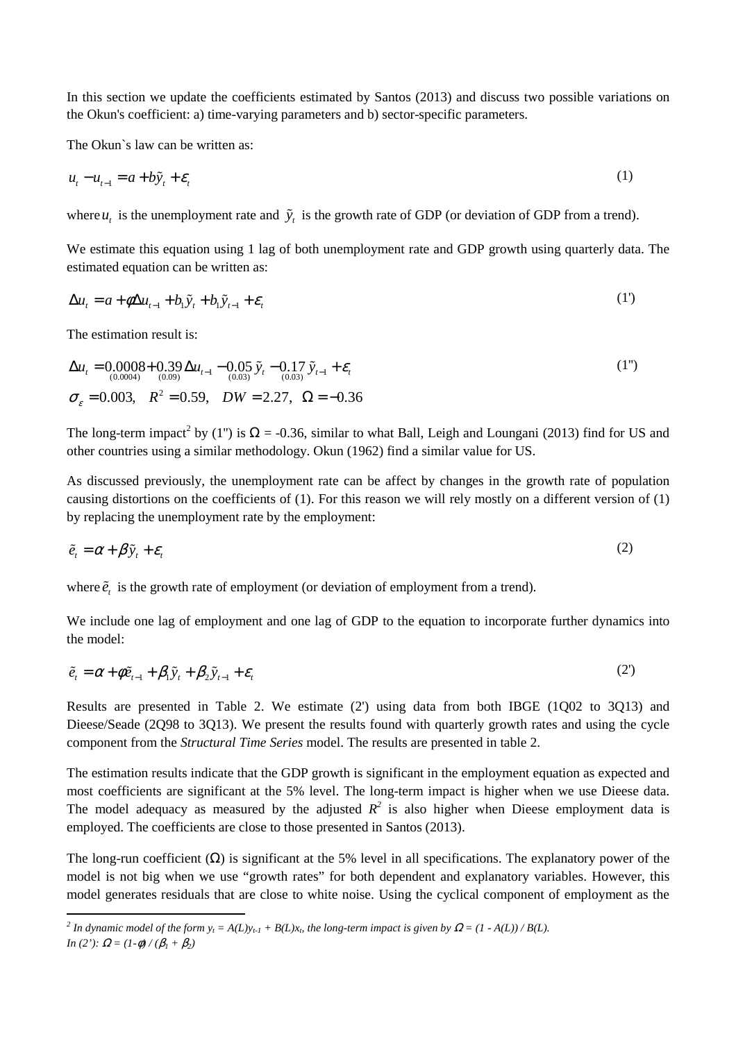In this section we update the coefficients estimated by Santos (2013) and discuss two possible variations on the Okun's coefficient: a) time-varying parameters and b) sector-specific parameters.

The Okun`s law can be written as:

$$
u_t - u_{t-1} = a + b\tilde{y}_t + \varepsilon_t
$$
 (1)

where  $u_t$  is the unemployment rate and  $\tilde{y}_t$  is the growth rate of GDP (or deviation of GDP from a trend).

We estimate this equation using 1 lag of both unemployment rate and GDP growth using quarterly data. The estimated equation can be written as:

$$
\Delta u_t = a + \phi \Delta u_{t-1} + b_1 \tilde{y}_t + b_1 \tilde{y}_{t-1} + \varepsilon_t
$$
\n(1')

The estimation result is:

$$
\Delta u_t = 0.0008 + 0.39 \Delta u_{t-1} - 0.05 \tilde{y}_t - 0.17 \tilde{y}_{t-1} + \varepsilon_t
$$
  
\n
$$
\sigma_{\varepsilon} = 0.003, \quad R^2 = 0.59, \quad DW = 2.27, \quad \Omega = -0.36
$$
\n(1")

The long-term impact<sup>2</sup> by (1") is  $\Omega$  = -0.36, similar to what Ball, Leigh and Loungani (2013) find for US and other countries using a similar methodology. Okun (1962) find a similar value for US.

As discussed previously, the unemployment rate can be affect by changes in the growth rate of population causing distortions on the coefficients of (1). For this reason we will rely mostly on a different version of (1) by replacing the unemployment rate by the employment:

$$
\tilde{e}_t = \alpha + \beta \tilde{y}_t + \varepsilon_t \tag{2}
$$

where  $\tilde{e}_t$  is the growth rate of employment (or deviation of employment from a trend).

We include one lag of employment and one lag of GDP to the equation to incorporate further dynamics into the model:

$$
\tilde{e}_t = \alpha + \phi \tilde{e}_{t-1} + \beta_1 \tilde{y}_t + \beta_2 \tilde{y}_{t-1} + \varepsilon_t
$$
\n(2)

Results are presented in Table 2. We estimate (2') using data from both IBGE (1Q02 to 3Q13) and Dieese/Seade (2Q98 to 3Q13). We present the results found with quarterly growth rates and using the cycle component from the *Structural Time Series* model. The results are presented in table 2.

The estimation results indicate that the GDP growth is significant in the employment equation as expected and most coefficients are significant at the 5% level. The long-term impact is higher when we use Dieese data. The model adequacy as measured by the adjusted  $R^2$  is also higher when Dieese employment data is employed. The coefficients are close to those presented in Santos (2013).

The long-run coefficient  $(\Omega)$  is significant at the 5% level in all specifications. The explanatory power of the model is not big when we use "growth rates" for both dependent and explanatory variables. However, this model generates residuals that are close to white noise. Using the cyclical component of employment as the

*<sup>2</sup>* In dynamic model of the form  $y_t = A(L)y_{t-1} + B(L)x_t$ , the long-term impact is given by  $\Omega = (1 - A(L)) / B(L)$ . *In* (2'):  $\Omega = (1-\phi)/(\beta_1 + \beta_2)$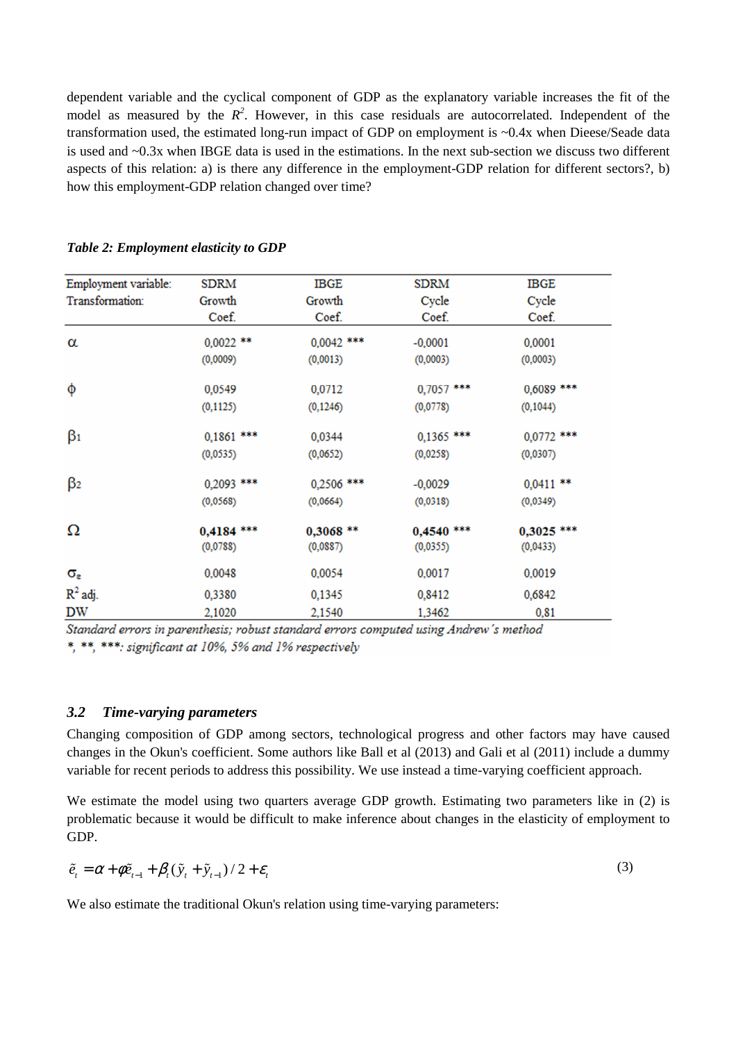dependent variable and the cyclical component of GDP as the explanatory variable increases the fit of the model as measured by the  $R^2$ . However, in this case residuals are autocorrelated. Independent of the transformation used, the estimated long-run impact of GDP on employment is ~0.4x when Dieese/Seade data is used and ~0.3x when IBGE data is used in the estimations. In the next sub-section we discuss two different aspects of this relation: a) is there any difference in the employment-GDP relation for different sectors?, b) how this employment-GDP relation changed over time?

| Employment variable:  | <b>SDRM</b>              | <b>IBGE</b>            | <b>SDRM</b>            | <b>IBGE</b>              |
|-----------------------|--------------------------|------------------------|------------------------|--------------------------|
| Transformation:       | Growth                   | Growth                 | Cycle                  | Cycle                    |
|                       | Coef.                    | Coef.                  | Coef.                  | Coef.                    |
| $\alpha$              | $0,0022$ **              | $0,0042$ ***           | $-0,0001$              | 0,0001                   |
|                       | (0,0009)                 | (0,0013)               | (0,0003)               | (0,0003)                 |
| φ                     | 0,0549                   | 0,0712                 | $0,7057$ ***           | $0,6089$ ***             |
|                       | (0, 1125)                | (0, 1246)              | (0,0778)               | (0, 1044)                |
| $\beta_1$             | $0,1861$ ***             | 0,0344                 | $0,1365$ ***           | $0,0772$ ***             |
|                       | (0,0535)                 | (0,0652)               | (0,0258)               | (0,0307)                 |
| $\beta$ <sub>2</sub>  | 0,2093 ***               | 0,2506 ***             | $-0,0029$              | $0,0411$ **              |
|                       | (0, 0568)                | (0,0664)               | (0,0318)               | (0,0349)                 |
| Ω                     | $0,4184$ ***<br>(0,0788) | $0,3068**$<br>(0,0887) | 0,4540 ***<br>(0,0355) | $0,3025$ ***<br>(0,0433) |
| $\alpha_{\mathtt{s}}$ | 0,0048                   | 0,0054                 | 0,0017                 | 0,0019                   |
| $R^2$ adj.            | 0,3380                   | 0,1345                 | 0,8412                 | 0,6842                   |
| <b>DW</b>             | 2,1020                   | 2,1540                 | 1,3462                 | 0,81                     |

#### *Table 2: Employment elasticity to GDP*

Standard errors in parenthesis; robust standard errors computed using Andrew's method \*, \*\*, \*\*\*; significant at 10%, 5% and 1% respectively

#### *3.2 Time-varying parameters*

Changing composition of GDP among sectors, technological progress and other factors may have caused changes in the Okun's coefficient. Some authors like Ball et al (2013) and Gali et al (2011) include a dummy variable for recent periods to address this possibility. We use instead a time-varying coefficient approach.

We estimate the model using two quarters average GDP growth. Estimating two parameters like in (2) is problematic because it would be difficult to make inference about changes in the elasticity of employment to GDP.

$$
\tilde{e}_t = \alpha + \phi \tilde{e}_{t-1} + \beta_t (\tilde{y}_t + \tilde{y}_{t-1}) / 2 + \varepsilon_t
$$
\n(3)

We also estimate the traditional Okun's relation using time-varying parameters: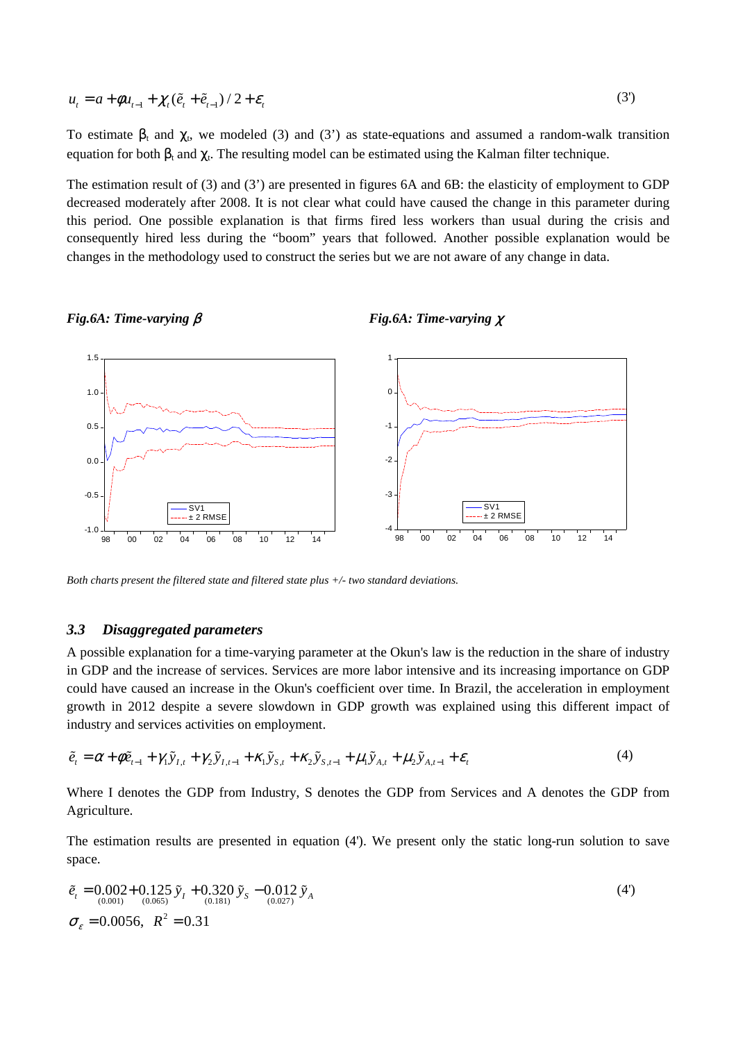$$
u_t = a + \phi u_{t-1} + \chi_t (\tilde{e}_t + \tilde{e}_{t-1}) / 2 + \varepsilon_t
$$
\n<sup>(3')</sup>

To estimate  $\beta_t$  and  $\chi_t$ , we modeled (3) and (3') as state-equations and assumed a random-walk transition equation for both  $\beta_t$  and  $\chi_t$ . The resulting model can be estimated using the Kalman filter technique.

The estimation result of (3) and (3') are presented in figures 6A and 6B: the elasticity of employment to GDP decreased moderately after 2008. It is not clear what could have caused the change in this parameter during this period. One possible explanation is that firms fired less workers than usual during the crisis and consequently hired less during the "boom" years that followed. Another possible explanation would be changes in the methodology used to construct the series but we are not aware of any change in data.



#### *Fig.6A: Time-varying* β *Fig.6A: Time-varying* χ

*Both charts present the filtered state and filtered state plus +/- two standard deviations.* 

#### *3.3 Disaggregated parameters*

A possible explanation for a time-varying parameter at the Okun's law is the reduction in the share of industry in GDP and the increase of services. Services are more labor intensive and its increasing importance on GDP could have caused an increase in the Okun's coefficient over time. In Brazil, the acceleration in employment growth in 2012 despite a severe slowdown in GDP growth was explained using this different impact of industry and services activities on employment.

$$
\tilde{e}_t = \alpha + \phi \tilde{e}_{t-1} + \gamma_1 \tilde{y}_{t,t} + \gamma_2 \tilde{y}_{t,t-1} + \kappa_1 \tilde{y}_{s,t} + \kappa_2 \tilde{y}_{s,t-1} + \mu_1 \tilde{y}_{A,t} + \mu_2 \tilde{y}_{A,t-1} + \varepsilon_t
$$
\n(4)

Where I denotes the GDP from Industry, S denotes the GDP from Services and A denotes the GDP from Agriculture.

The estimation results are presented in equation (4'). We present only the static long-run solution to save space.

$$
\tilde{e}_t = 0.002 + 0.125 \tilde{y}_t + 0.320 \tilde{y}_s - 0.012 \tilde{y}_A
$$
  
\n
$$
\sigma_{\varepsilon} = 0.0056, \quad R^2 = 0.31
$$
\n(4)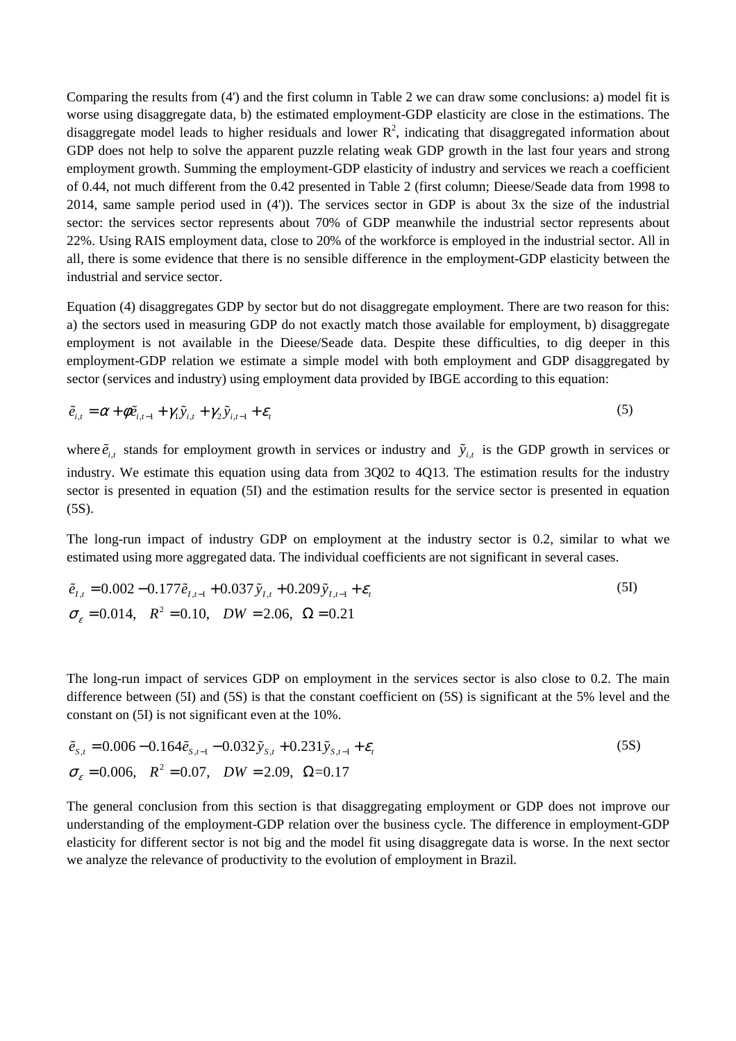Comparing the results from (4') and the first column in Table 2 we can draw some conclusions: a) model fit is worse using disaggregate data, b) the estimated employment-GDP elasticity are close in the estimations. The disaggregate model leads to higher residuals and lower  $\mathbb{R}^2$ , indicating that disaggregated information about GDP does not help to solve the apparent puzzle relating weak GDP growth in the last four years and strong employment growth. Summing the employment-GDP elasticity of industry and services we reach a coefficient of 0.44, not much different from the 0.42 presented in Table 2 (first column; Dieese/Seade data from 1998 to 2014, same sample period used in (4')). The services sector in GDP is about 3x the size of the industrial sector: the services sector represents about 70% of GDP meanwhile the industrial sector represents about 22%. Using RAIS employment data, close to 20% of the workforce is employed in the industrial sector. All in all, there is some evidence that there is no sensible difference in the employment-GDP elasticity between the industrial and service sector.

Equation (4) disaggregates GDP by sector but do not disaggregate employment. There are two reason for this: a) the sectors used in measuring GDP do not exactly match those available for employment, b) disaggregate employment is not available in the Dieese/Seade data. Despite these difficulties, to dig deeper in this employment-GDP relation we estimate a simple model with both employment and GDP disaggregated by sector (services and industry) using employment data provided by IBGE according to this equation:

$$
\tilde{e}_{i,t} = \alpha + \phi \tilde{e}_{i,t-1} + \gamma_1 \tilde{y}_{i,t} + \gamma_2 \tilde{y}_{i,t-1} + \varepsilon_t
$$
\n<sup>(5)</sup>

where  $\tilde{e}_{i,t}$  stands for employment growth in services or industry and  $\tilde{y}_{i,t}$  is the GDP growth in services or industry. We estimate this equation using data from 3Q02 to 4Q13. The estimation results for the industry sector is presented in equation (5I) and the estimation results for the service sector is presented in equation (5S).

The long-run impact of industry GDP on employment at the industry sector is 0.2, similar to what we estimated using more aggregated data. The individual coefficients are not significant in several cases.

$$
\tilde{e}_{I,t} = 0.002 - 0.177 \tilde{e}_{I,t-1} + 0.037 \tilde{y}_{I,t} + 0.209 \tilde{y}_{I,t-1} + \varepsilon_t
$$
\n
$$
\sigma_{\varepsilon} = 0.014, \quad R^2 = 0.10, \quad DW = 2.06, \quad \Omega = 0.21
$$
\n(5I)

The long-run impact of services GDP on employment in the services sector is also close to 0.2. The main difference between (5I) and (5S) is that the constant coefficient on (5S) is significant at the 5% level and the constant on (5I) is not significant even at the 10%.

$$
\tilde{e}_{s,t} = 0.006 - 0.164 \tilde{e}_{s,t-1} - 0.032 \tilde{y}_{s,t} + 0.231 \tilde{y}_{s,t-1} + \varepsilon_t
$$
\n
$$
\sigma_{\varepsilon} = 0.006, \quad R^2 = 0.07, \quad DW = 2.09, \quad \Omega = 0.17
$$
\n(5S)

The general conclusion from this section is that disaggregating employment or GDP does not improve our understanding of the employment-GDP relation over the business cycle. The difference in employment-GDP elasticity for different sector is not big and the model fit using disaggregate data is worse. In the next sector we analyze the relevance of productivity to the evolution of employment in Brazil.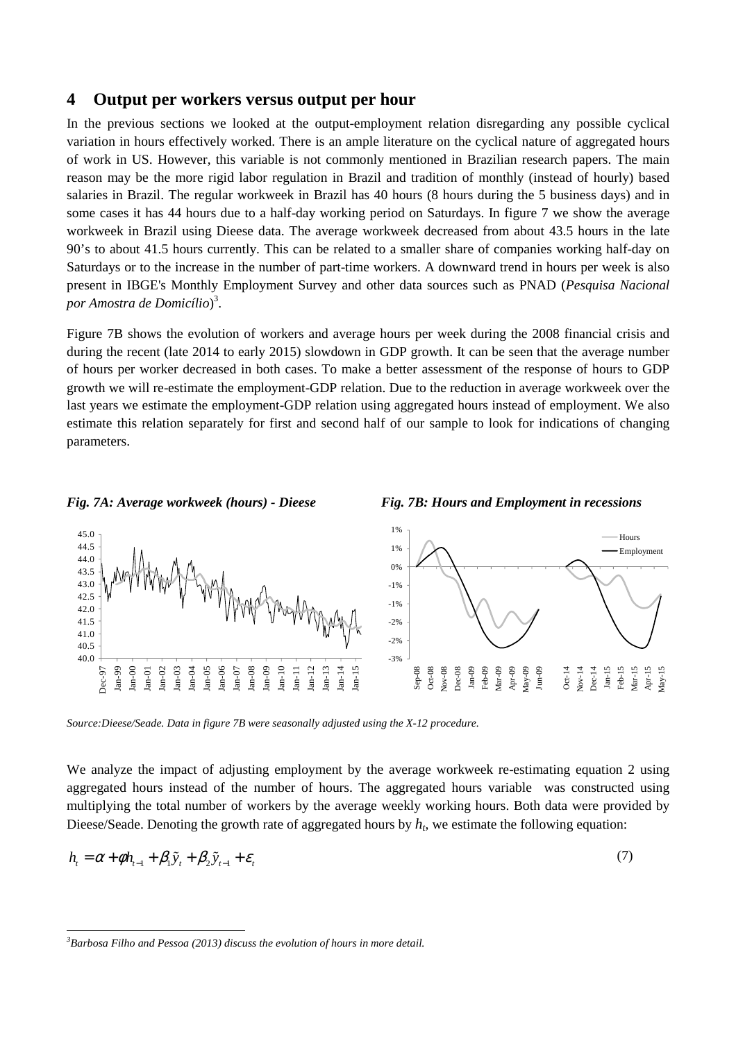### **4 Output per workers versus output per hour**

In the previous sections we looked at the output-employment relation disregarding any possible cyclical variation in hours effectively worked. There is an ample literature on the cyclical nature of aggregated hours of work in US. However, this variable is not commonly mentioned in Brazilian research papers. The main reason may be the more rigid labor regulation in Brazil and tradition of monthly (instead of hourly) based salaries in Brazil. The regular workweek in Brazil has 40 hours (8 hours during the 5 business days) and in some cases it has 44 hours due to a half-day working period on Saturdays. In figure 7 we show the average workweek in Brazil using Dieese data. The average workweek decreased from about 43.5 hours in the late 90's to about 41.5 hours currently. This can be related to a smaller share of companies working half-day on Saturdays or to the increase in the number of part-time workers. A downward trend in hours per week is also present in IBGE's Monthly Employment Survey and other data sources such as PNAD (*Pesquisa Nacional por Amostra de Domicílio*) 3 .

Figure 7B shows the evolution of workers and average hours per week during the 2008 financial crisis and during the recent (late 2014 to early 2015) slowdown in GDP growth. It can be seen that the average number of hours per worker decreased in both cases. To make a better assessment of the response of hours to GDP growth we will re-estimate the employment-GDP relation. Due to the reduction in average workweek over the last years we estimate the employment-GDP relation using aggregated hours instead of employment. We also estimate this relation separately for first and second half of our sample to look for indications of changing parameters.

#### *Fig. 7A: Average workweek (hours) - Dieese* Fig. 7B: Hours and Employment in recessions 1% 45.0 Hours 44.5 1% Employment44.0 0% 43.5 typopolitical modern 43.0 -1% 42.5 -1% 42.0 41.5  $-20<sub>6</sub>$ 41.0  $-20<sub>6</sub>$ 40.5 40.0 -3% Jan-15 Jan-99 Jan-06 Jan-07 Jan-08 Jan-09 Jan-10 Jan-11 Jan-12 lan-13 Jan-14 Sep-08 Nov-08 Jan-09 Jan-15 Feb-15 Jan-00 Jan-01 Jan-03 Jan-05 Dec-08 Feb-09 Mar-09 Dec-97 Jan-02 Jan-04 Oct-08 Apr-09 May-09 Jun-09 Oct-14 Nov-14 Dec-14 Mar-15 Apr-15 May-15

*Source:Dieese/Seade. Data in figure 7B were seasonally adjusted using the X-12 procedure.* 

We analyze the impact of adjusting employment by the average workweek re-estimating equation 2 using aggregated hours instead of the number of hours. The aggregated hours variable was constructed using multiplying the total number of workers by the average weekly working hours. Both data were provided by Dieese/Seade. Denoting the growth rate of aggregated hours by  $h_t$ , we estimate the following equation:

$$
h_{i} = \alpha + \phi h_{i-1} + \beta_{1} \tilde{y}_{i} + \beta_{2} \tilde{y}_{i-1} + \varepsilon_{i}
$$
\n<sup>(7)</sup>

*<sup>3</sup>Barbosa Filho and Pessoa (2013) discuss the evolution of hours in more detail.* 

 $\overline{a}$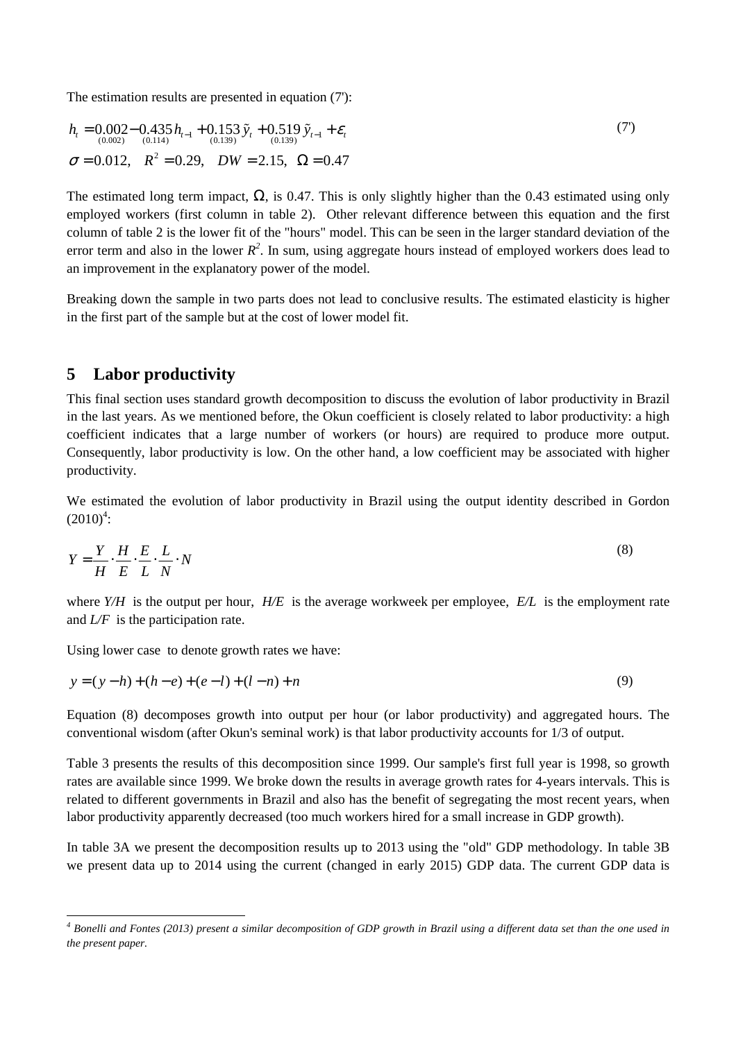The estimation results are presented in equation (7'):

$$
h_{t} = 0.002 - 0.435 h_{t-1} + 0.153 \tilde{y}_{t} + 0.519 \tilde{y}_{t-1} + \varepsilon_{t}
$$
  
\n
$$
\sigma = 0.012, \quad R^{2} = 0.29, \quad DW = 2.15, \quad \Omega = 0.47
$$
\n(7)

The estimated long term impact,  $\Omega$ , is 0.47. This is only slightly higher than the 0.43 estimated using only employed workers (first column in table 2). Other relevant difference between this equation and the first column of table 2 is the lower fit of the "hours" model. This can be seen in the larger standard deviation of the error term and also in the lower  $R^2$ . In sum, using aggregate hours instead of employed workers does lead to an improvement in the explanatory power of the model.

Breaking down the sample in two parts does not lead to conclusive results. The estimated elasticity is higher in the first part of the sample but at the cost of lower model fit.

## **5 Labor productivity**

This final section uses standard growth decomposition to discuss the evolution of labor productivity in Brazil in the last years. As we mentioned before, the Okun coefficient is closely related to labor productivity: a high coefficient indicates that a large number of workers (or hours) are required to produce more output. Consequently, labor productivity is low. On the other hand, a low coefficient may be associated with higher productivity.

We estimated the evolution of labor productivity in Brazil using the output identity described in Gordon  $(2010)^4$ :

$$
Y = \frac{Y}{H} \cdot \frac{H}{E} \cdot \frac{E}{L} \cdot \frac{L}{N} \cdot N
$$
\n(8)

where *Y/H* is the output per hour, *H/E* is the average workweek per employee, *E/L* is the employment rate and *L/F* is the participation rate.

Using lower case to denote growth rates we have:

$$
y = (y - h) + (h - e) + (e - l) + (l - n) + n
$$
\n(9)

Equation (8) decomposes growth into output per hour (or labor productivity) and aggregated hours. The conventional wisdom (after Okun's seminal work) is that labor productivity accounts for 1/3 of output.

Table 3 presents the results of this decomposition since 1999. Our sample's first full year is 1998, so growth rates are available since 1999. We broke down the results in average growth rates for 4-years intervals. This is related to different governments in Brazil and also has the benefit of segregating the most recent years, when labor productivity apparently decreased (too much workers hired for a small increase in GDP growth).

In table 3A we present the decomposition results up to 2013 using the "old" GDP methodology. In table 3B we present data up to 2014 using the current (changed in early 2015) GDP data. The current GDP data is

 *4 Bonelli and Fontes (2013) present a similar decomposition of GDP growth in Brazil using a different data set than the one used in the present paper.*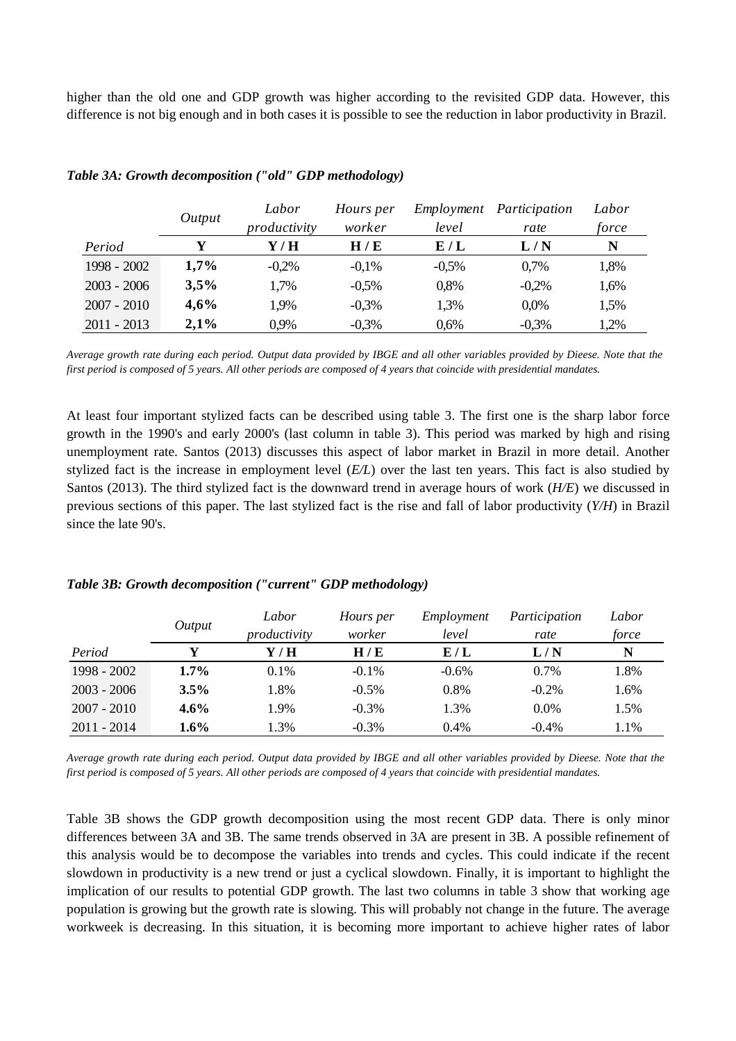higher than the old one and GDP growth was higher according to the revisited GDP data. However, this difference is not big enough and in both cases it is possible to see the reduction in labor productivity in Brazil.

|               | Output | Labor        | Hours per |          | Employment Participation | Labor |
|---------------|--------|--------------|-----------|----------|--------------------------|-------|
|               |        | productivity | worker    | level    | rate                     | force |
| Period        | Y      | Y / H        | H/E       | E/L      | L/N                      | N     |
| $1998 - 2002$ | 1,7%   | $-0.2%$      | $-0.1\%$  | $-0.5\%$ | 0,7%                     | 1,8%  |
| $2003 - 2006$ | 3,5%   | 1,7%         | $-0.5\%$  | 0.8%     | $-0.2%$                  | 1,6%  |
| $2007 - 2010$ | 4,6%   | 1,9%         | $-0.3%$   | 1,3%     | $0.0\%$                  | 1,5%  |
| $2011 - 2013$ | 2,1%   | 0,9%         | $-0,3%$   | 0.6%     | $-0,3%$                  | 1,2%  |

#### *Table 3A: Growth decomposition ("old" GDP methodology)*

*Average growth rate during each period. Output data provided by IBGE and all other variables provided by Dieese. Note that the first period is composed of 5 years. All other periods are composed of 4 years that coincide with presidential mandates.* 

At least four important stylized facts can be described using table 3. The first one is the sharp labor force growth in the 1990's and early 2000's (last column in table 3). This period was marked by high and rising unemployment rate. Santos (2013) discusses this aspect of labor market in Brazil in more detail. Another stylized fact is the increase in employment level (*E/L*) over the last ten years. This fact is also studied by Santos (2013). The third stylized fact is the downward trend in average hours of work (*H/E*) we discussed in previous sections of this paper. The last stylized fact is the rise and fall of labor productivity (*Y/H*) in Brazil since the late 90's.

|               | Output  | Labor        | Hours per | Employment | Participation | Labor |
|---------------|---------|--------------|-----------|------------|---------------|-------|
|               |         | productivity | worker    | level      | rate          | force |
| Period        |         | Y / H        | H/E       | E/L        | L/N           | N     |
| 1998 - 2002   | 1.7%    | $0.1\%$      | $-0.1\%$  | $-0.6%$    | $0.7\%$       | 1.8%  |
| $2003 - 2006$ | 3.5%    | 1.8%         | $-0.5\%$  | $0.8\%$    | $-0.2\%$      | 1.6%  |
| $2007 - 2010$ | $4.6\%$ | 1.9%         | $-0.3\%$  | 1.3%       | 0.0%          | 1.5%  |
| $2011 - 2014$ | $1.6\%$ | 1.3%         | $-0.3\%$  | 0.4%       | $-0.4%$       | 1.1%  |

#### *Table 3B: Growth decomposition ("current" GDP methodology)*

*Average growth rate during each period. Output data provided by IBGE and all other variables provided by Dieese. Note that the first period is composed of 5 years. All other periods are composed of 4 years that coincide with presidential mandates.* 

Table 3B shows the GDP growth decomposition using the most recent GDP data. There is only minor differences between 3A and 3B. The same trends observed in 3A are present in 3B. A possible refinement of this analysis would be to decompose the variables into trends and cycles. This could indicate if the recent slowdown in productivity is a new trend or just a cyclical slowdown. Finally, it is important to highlight the implication of our results to potential GDP growth. The last two columns in table 3 show that working age population is growing but the growth rate is slowing. This will probably not change in the future. The average workweek is decreasing. In this situation, it is becoming more important to achieve higher rates of labor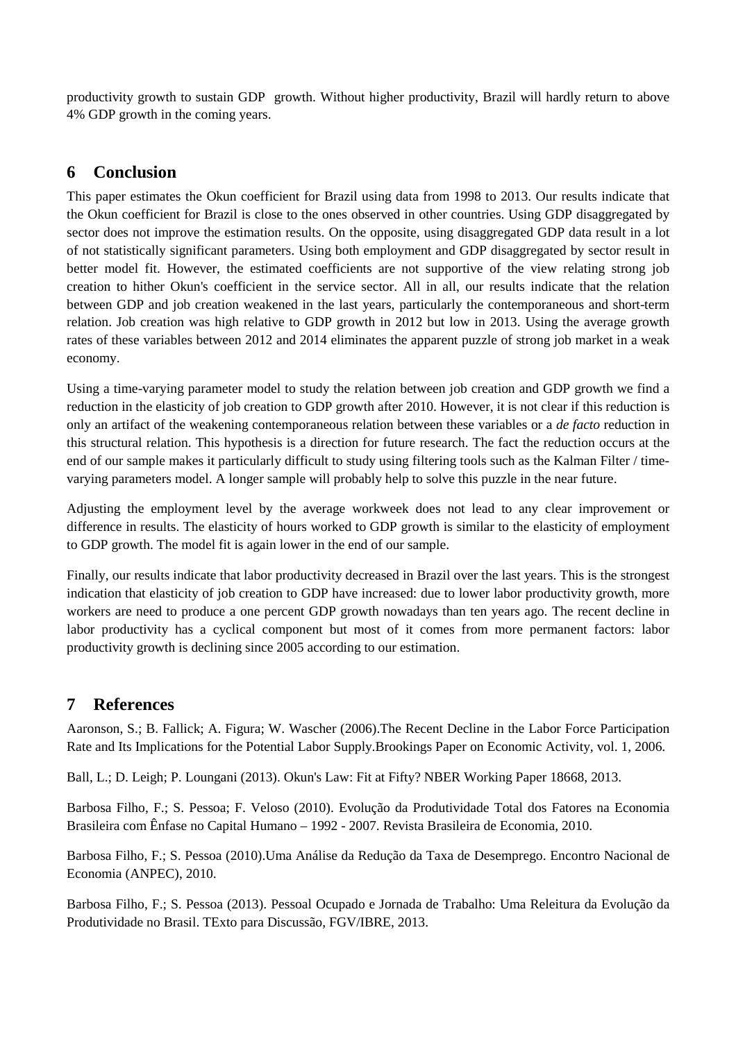productivity growth to sustain GDP growth. Without higher productivity, Brazil will hardly return to above 4% GDP growth in the coming years.

# **6 Conclusion**

This paper estimates the Okun coefficient for Brazil using data from 1998 to 2013. Our results indicate that the Okun coefficient for Brazil is close to the ones observed in other countries. Using GDP disaggregated by sector does not improve the estimation results. On the opposite, using disaggregated GDP data result in a lot of not statistically significant parameters. Using both employment and GDP disaggregated by sector result in better model fit. However, the estimated coefficients are not supportive of the view relating strong job creation to hither Okun's coefficient in the service sector. All in all, our results indicate that the relation between GDP and job creation weakened in the last years, particularly the contemporaneous and short-term relation. Job creation was high relative to GDP growth in 2012 but low in 2013. Using the average growth rates of these variables between 2012 and 2014 eliminates the apparent puzzle of strong job market in a weak economy.

Using a time-varying parameter model to study the relation between job creation and GDP growth we find a reduction in the elasticity of job creation to GDP growth after 2010. However, it is not clear if this reduction is only an artifact of the weakening contemporaneous relation between these variables or a *de facto* reduction in this structural relation. This hypothesis is a direction for future research. The fact the reduction occurs at the end of our sample makes it particularly difficult to study using filtering tools such as the Kalman Filter / timevarying parameters model. A longer sample will probably help to solve this puzzle in the near future.

Adjusting the employment level by the average workweek does not lead to any clear improvement or difference in results. The elasticity of hours worked to GDP growth is similar to the elasticity of employment to GDP growth. The model fit is again lower in the end of our sample.

Finally, our results indicate that labor productivity decreased in Brazil over the last years. This is the strongest indication that elasticity of job creation to GDP have increased: due to lower labor productivity growth, more workers are need to produce a one percent GDP growth nowadays than ten years ago. The recent decline in labor productivity has a cyclical component but most of it comes from more permanent factors: labor productivity growth is declining since 2005 according to our estimation.

# **7 References**

Aaronson, S.; B. Fallick; A. Figura; W. Wascher (2006).The Recent Decline in the Labor Force Participation Rate and Its Implications for the Potential Labor Supply.Brookings Paper on Economic Activity, vol. 1, 2006.

Ball, L.; D. Leigh; P. Loungani (2013). Okun's Law: Fit at Fifty? NBER Working Paper 18668, 2013.

Barbosa Filho, F.; S. Pessoa; F. Veloso (2010). Evolução da Produtividade Total dos Fatores na Economia Brasileira com Ênfase no Capital Humano – 1992 - 2007. Revista Brasileira de Economia, 2010.

Barbosa Filho, F.; S. Pessoa (2010).Uma Análise da Redução da Taxa de Desemprego. Encontro Nacional de Economia (ANPEC), 2010.

Barbosa Filho, F.; S. Pessoa (2013). Pessoal Ocupado e Jornada de Trabalho: Uma Releitura da Evolução da Produtividade no Brasil. TExto para Discussão, FGV/IBRE, 2013.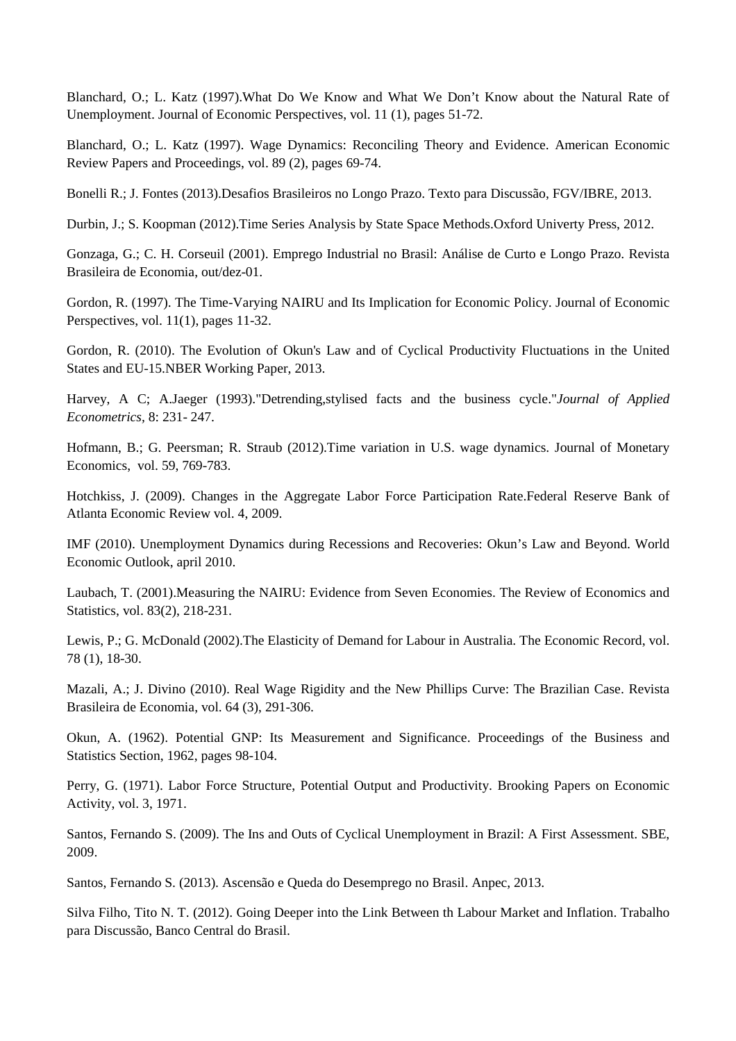Blanchard, O.; L. Katz (1997).What Do We Know and What We Don't Know about the Natural Rate of Unemployment. Journal of Economic Perspectives, vol. 11 (1), pages 51-72.

Blanchard, O.; L. Katz (1997). Wage Dynamics: Reconciling Theory and Evidence. American Economic Review Papers and Proceedings, vol. 89 (2), pages 69-74.

Bonelli R.; J. Fontes (2013).Desafios Brasileiros no Longo Prazo. Texto para Discussão, FGV/IBRE, 2013.

Durbin, J.; S. Koopman (2012).Time Series Analysis by State Space Methods.Oxford Univerty Press, 2012.

Gonzaga, G.; C. H. Corseuil (2001). Emprego Industrial no Brasil: Análise de Curto e Longo Prazo. Revista Brasileira de Economia, out/dez-01.

Gordon, R. (1997). The Time-Varying NAIRU and Its Implication for Economic Policy. Journal of Economic Perspectives, vol. 11(1), pages 11-32.

Gordon, R. (2010). The Evolution of Okun's Law and of Cyclical Productivity Fluctuations in the United States and EU-15.NBER Working Paper, 2013.

Harvey, A C; A.Jaeger (1993)."Detrending,stylised facts and the business cycle."*Journal of Applied Econometrics,* 8: 231- 247.

Hofmann, B.; G. Peersman; R. Straub (2012).Time variation in U.S. wage dynamics. Journal of Monetary Economics, vol. 59, 769-783.

Hotchkiss, J. (2009). Changes in the Aggregate Labor Force Participation Rate.Federal Reserve Bank of Atlanta Economic Review vol. 4, 2009.

IMF (2010). Unemployment Dynamics during Recessions and Recoveries: Okun's Law and Beyond. World Economic Outlook, april 2010.

Laubach, T. (2001).Measuring the NAIRU: Evidence from Seven Economies. The Review of Economics and Statistics, vol. 83(2), 218-231.

Lewis, P.; G. McDonald (2002).The Elasticity of Demand for Labour in Australia. The Economic Record, vol. 78 (1), 18-30.

Mazali, A.; J. Divino (2010). Real Wage Rigidity and the New Phillips Curve: The Brazilian Case. Revista Brasileira de Economia, vol. 64 (3), 291-306.

Okun, A. (1962). Potential GNP: Its Measurement and Significance. Proceedings of the Business and Statistics Section, 1962, pages 98-104.

Perry, G. (1971). Labor Force Structure, Potential Output and Productivity. Brooking Papers on Economic Activity, vol. 3, 1971.

Santos, Fernando S. (2009). The Ins and Outs of Cyclical Unemployment in Brazil: A First Assessment. SBE, 2009.

Santos, Fernando S. (2013). Ascensão e Queda do Desemprego no Brasil. Anpec, 2013.

Silva Filho, Tito N. T. (2012). Going Deeper into the Link Between th Labour Market and Inflation. Trabalho para Discussão, Banco Central do Brasil.